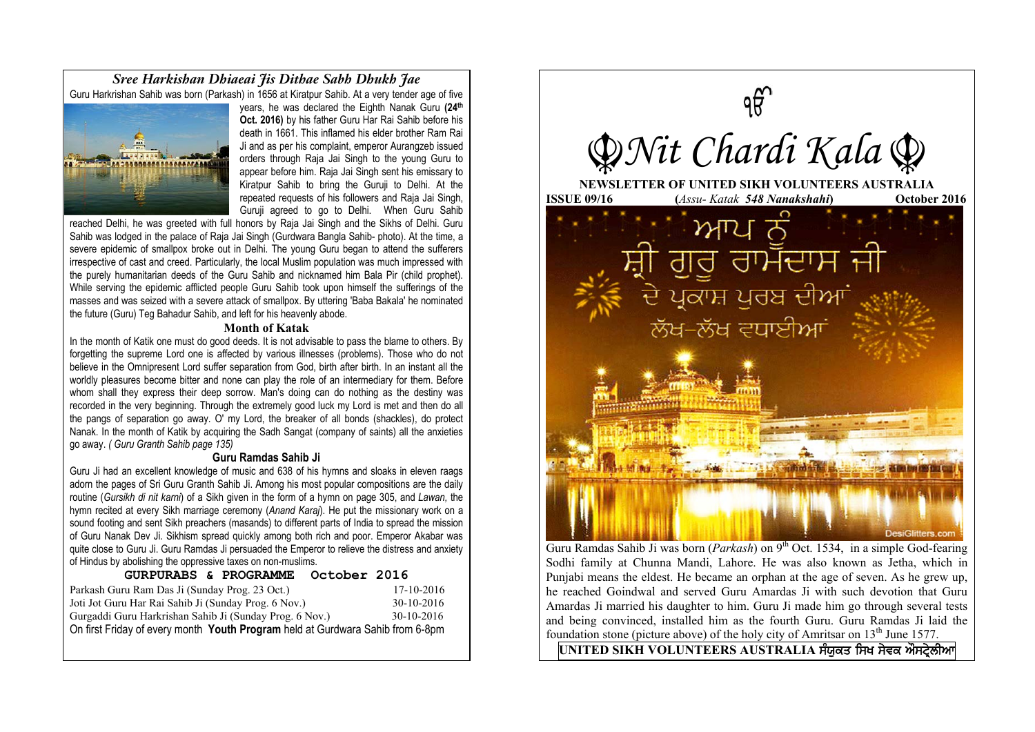*Sree Harkishan Dhiaeai Jis Dithae Sabh Dhukh Jae* Guru Harkrishan Sahib was born (Parkash) in 1656 at Kiratpur Sahib. At a very tender age of five



years, he was declared the Eighth Nanak Guru **(24th Oct. 2016)** by his father Guru Har Rai Sahib before his death in 1661. This inflamed his elder brother Ram Rai Ji and as per his complaint, emperor Aurangzeb issued orders through Raja Jai Singh to the young Guru to appear before him. Raja Jai Singh sent his emissary to Kiratpur Sahib to bring the Guruji to Delhi. At the repeated requests of his followers and Raja Jai Singh, Guruji agreed to go to Delhi. When Guru Sahib

reached Delhi, he was greeted with full honors by Raja Jai Singh and the Sikhs of Delhi. Guru Sahib was lodged in the palace of Raja Jai Singh (Gurdwara Bangla Sahib- photo). At the time, a severe epidemic of smallpox broke out in Delhi. The young Guru began to attend the sufferers irrespective of cast and creed. Particularly, the local Muslim population was much impressed with the purely humanitarian deeds of the Guru Sahib and nicknamed him Bala Pir (child prophet). While serving the epidemic afflicted people Guru Sahib took upon himself the sufferings of the masses and was seized with a severe attack of smallpox. By uttering 'Baba Bakala' he nominated the future (Guru) Teg Bahadur Sahib, and left for his heavenly abode.

#### **Month of Katak**

In the month of Katik one must do good deeds. It is not advisable to pass the blame to others. By forgetting the supreme Lord one is affected by various illnesses (problems). Those who do not believe in the Omnipresent Lord suffer separation from God, birth after birth. In an instant all the worldly pleasures become bitter and none can play the role of an intermediary for them. Before whom shall they express their deep sorrow. Man's doing can do nothing as the destiny was recorded in the very beginning. Through the extremely good luck my Lord is met and then do all the pangs of separation go away. O' my Lord, the breaker of all bonds (shackles), do protect Nanak. In the month of Katik by acquiring the Sadh Sangat (company of saints) all the anxieties go away. *( Guru Granth Sahib page 135)*

#### **Guru Ramdas Sahib Ji**

Guru Ji had an excellent knowledge of music and 638 of his hymns and sloaks in eleven raags adorn the pages of Sri Guru Granth Sahib Ji. Among his most popular compositions are the daily routine (*Gursikh di nit karni*) of a Sikh given in the form of a hymn on page 305, and *Lawan,* the hymn recited at every Sikh marriage ceremony (*Anand Karaj*). He put the missionary work on a sound footing and sent Sikh preachers (masands) to different parts of India to spread the mission of Guru Nanak Dev Ji. Sikhism spread quickly among both rich and poor. Emperor Akabar was quite close to Guru Ji. Guru Ramdas Ji persuaded the Emperor to relieve the distress and anxiety of Hindus by abolishing the oppressive taxes on non-muslims.

# **GURPURABS & PROGRAMME October 2016** Parkash Guru Ram Das Ji (Sunday Prog. 23 Oct.) 17-10-2016 Joti Jot Guru Har Rai Sahib Ji (Sunday Prog. 6 Nov.) 30-10-2016 Gurgaddi Guru Harkrishan Sahib Ji (Sunday Prog. 6 Nov.) 30-10-2016 On first Friday of every month **Youth Program** held at Gurdwara Sahib from 6-8pm



Guru Ramdas Sahib Ji was born (*Parkash*) on 9<sup>th</sup> Oct. 1534, in a simple God-fearing Sodhi family at Chunna Mandi, Lahore. He was also known as Jetha, which in Punjabi means the eldest. He became an orphan at the age of seven. As he grew up, he reached Goindwal and served Guru Amardas Ji with such devotion that Guru Amardas Ji married his daughter to him. Guru Ji made him go through several tests and being convinced, installed him as the fourth Guru. Guru Ramdas Ji laid the foundation stone (picture above) of the holy city of Amritsar on  $13<sup>th</sup>$  June 1577.

 $\overline{U}$ NITED SIKH VOLUNTEERS AUSTRALIA ਸੰਯੁਕਤ ਸਿਖ ਸੇਵਕ ਔਸਟ੍ਰੇਲੀਆ